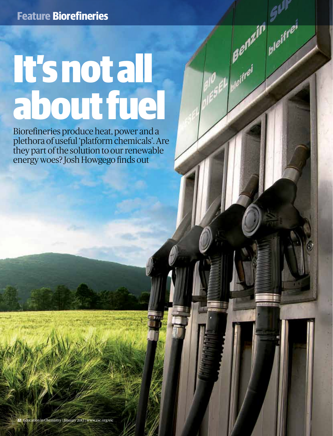# It's not all about fuel

Eh pleifrei

Biorefineries produce heat, power and a plethora of useful 'platform chemicals'. Are they part of the solution to our renewable energy woes? Josh Howgego finds out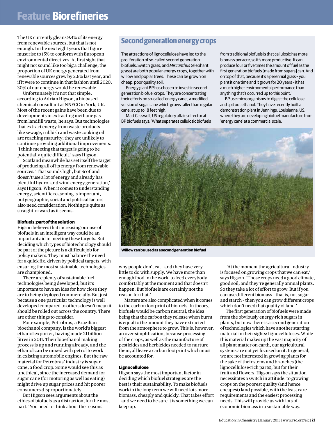# **Feature Biorefineries**

The UK currently gleans 9.4% of its energy from renewable sources, but that is not enough. In the next eight years that figure must rise to 15% to conform with European environmental directives. At first sight that might not sound like too big a challenge; the proportion of UK energy generated from renewable sources grew by 2.6% last year, and if it were to continue in that fashion until 2020, 30% of our energy would be renewable.

Unfortunately it's not that simple, according to Adrian Higson, a biobased chemical consultant at NNFCC in York, UK. Most of the recent gains have been due to developments in extracting methane gas from landfill waste, he says. But technologies that extract energy from waste products like sewage, rubbish and waste cooking oil are reaching maturity; they are unlikely to continue providing additional improvements. 'I think meeting that target is going to be potentially quite difficult,' says Higson.

Scotland meanwhile has set itself the target of producing all of its energy from renewable sources. 'That sounds high, but Scotland doesn't use a lot of energy and already has plentiful hydro- and wind energy generation,' says Higson. When it comes to understanding energy, scientific reasoning is important, but geographic, social and political factors also need consideration. Nothing is quite as straightforward as it seems.

#### **Biofuels: part of the solution**

Higson believes that increasing our use of biofuels in an intelligent way could be an important aid in meeting these targets. But deciding which types of biotechnology should be part of the picture is a difficult job for policy makers. They must balance the need for a quick fix, driven by political targets, with ensuring the most sustainable technologies are championed.

There are plenty of sustainable fuel technologies being developed, but it's important to have an idea for how close they are to being deployed commercially. But just because a one particular technology is well developed compared to others doesn't mean it should be rolled out across the country. There are other things to consider.

For example, Petrobras, a Brazilian bioethanol company, is the world's biggest ethanol exporter, having made 21 billion litres in 2011. Their bioethanol making process is up and running already, and the ethanol can be mixed with petrol to work in existing automobile engines. But the raw material for Petrobras' industry is sugar cane, a food crop. Some would see this as unethical, since the increased demand for sugar cane (for motoring as well as eating) might drive up sugar prices and hit poorer consumers disproportionately.

But Higson sees arguments about the ethics of biofuels as a distraction, for the most part. 'You need to think about the reasons

## **Second generation energy crops**

The attractions of lignocellulose have led to the proliferation of so-called second generation biofuels. Switch grass, and *Miscanthus* (elephant grass) are both popular energy crops, together with willow and poplar trees. These can be grown on cheap, poor quality soil.

Energy giant BP has chosen to invest in second generation biofuel crops. They are concentrating their efforts on so-called 'energy cane', a modified version of sugar cane which grows taller than regular cane, at up to 18 feet high.

Matt Casswell, US regulatory affairs director at BP biofuels says: 'What separates cellulosic biofuels from traditional biofuels is that cellulosic has more biomass per acre, so it's more productive. It can produce four or five times the amount of fuel as the first generation biofuels [made from sugars] can. And on top of that, because it's a perennial grass – you plant it one time and it grows for 20 years – it has a much higher environmental performance than anything that's occurred up to this point.'

BP use microorganisms to digest the cellulose and spit out ethanol. They have recently built a demonstration plant in Jennings, Louisianna, US, where they are developing biofuel manufacture from 'energy cane' at a commercial scale.



**Willow can be used as a second generation biofuel**

why people don't eat – and they have very little to do with supply. We have more than enough food in the world to feed everybody comfortably at the moment and that doesn't happen. But biofuels are certainly not the reason for that.'

Matters are also complicated when it comes to the carbon footprint of biofuels. In theory, biofuels would be carbon neutral, the idea being that the carbon they release when burnt is equal to the amount they have extracted from the atmosphere to grow. This is, however, an over-simplification, because processing of the crops, as well as the manufacture of pesticides and herbicides needed to nurture them, all leave a carbon footprint which must be accounted for.

#### **Lignocellulose**

Higson says the most important factor in deciding which biofuel strategies are the best is their sustainability. To make biofuels work in the long term we will need lots more biomass, cheaply and quickly. That takes effort – and we need to be sure it is something we can keep up.

 'At the moment the agricultural industry is focused on growing crops that we can eat,' says Higson. 'Those crops need a good climate, good soil, and they're generally annual plants. So they take a lot of effort to grow. But if you can use different biomass – that is, not sugar and starch – then you can grow different crops which don't need that quality of land.'

The first generation of biofuels were made from the obviously energy-rich sugars in plants, but now there is a second generation of technologies which have another starting material in their sights: lignocelluloses. While this material makes up the vast majority of all plant matter on earth, our agricultural systems are not yet focused on it. In general, we are not interested in growing plants for the sake of their stems and branches (the lignocellulose-rich parts), but for their fruit and flowers. Higson says the situation necessitates a switch in attitude: to growing crops on the poorest quality (and hence cheapest) land possible, with the least care requirements and the easiest processing needs. This will provide us with lots of economic biomass in a sustainable way.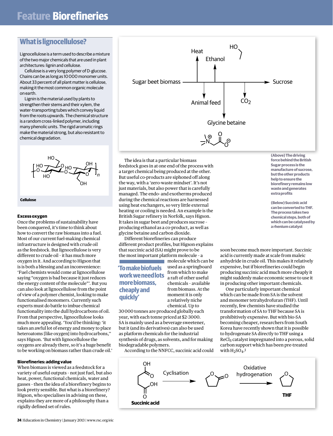## **What is lignocellulose?**

Lignocellulose is a term used to describe a mixture of the two major chemicals that are used in plant architectures: lignin and cellulose.

Cellulose is a very long polymer of D-glucose. Chains can be as long as 10 000 monomer units. About 33 percent of all plant matter is cellulose, making it the most common organic molecule on earth.

Lignin is the material used by plants to strengthen their stems and their xylem, the water-transporting tubes which convey liquid from the roots upwards. The chemical structure is a random cross-linked polymer, including many phenolic units. The rigid aromatic rings make the material strong, but also resistant to chemical degradation.





#### **Excess oxygen**

Once the problems of sustainability have been conquered, it's time to think about how to convert the raw biomass into a fuel. Most of our current fuel-making chemical infrastructure is designed with crude oil as the feedstock. But lignocellulose is very different to crude oil – it has much more oxygen in it. And according to Higson that is is both a blessing and an inconvenience: 'Fuel chemists would come at lignocellulose saying "oxygen is bad because it just reduces the energy content of the molecule"'. But you can also look at lignocellulose from the point of view of a polymer chemist, looking to make functionalised monomers. Currently such experts must do battle to imbue chemical functionality into the dull hydrocarbons of oil. From that perspective, lignocellulose looks much more appealing. 'You'd be thinking: 'it takes an awful lot of energy and money to place heteroatoms [like oxygen] into hydrocarbons,'' says Higson. 'But with lignocellulose the oxygens are already there, so it's a huge benefit to be working on biomass rather than crude oil.'

#### **Biorefineries: adding value**

When biomass is viewed as a feedstock for a variety of useful outputs – not just fuel, but also heat, power, functional chemicals, water and gasses – then the idea of a biorefinery begins to look pretty sensible. But what is a biorefinery? Higson, who specialises in advising on these, explains they are more of a philosophy than a rigidly defined set of rules.



The idea is that a particular biomass feedstock goes in at one end of the process with a target chemical being produced at the other. But useful co-products are siphoned off along the way, with a 'zero-waste mindset'. It's not just materials, but also power that is carefully managed. The endo- and exotherms produced during the chemical reactions are harnessed using heat exchangers, so very little external heating or cooling is needed. An example is the British Sugar refinery in Norfolk, says Higson. It takes in sugar beet and produces sucrose – producing ethanol as a co-product, as well as glycine betaine and carbon dioxide.

Different biorefineries can produce different product profiles, but Higson explains that succinic acid (SA) might prove to be the most important platform molecule – a

### **'To make biofuels work we need lots more biomass, cheaply and quickly'**

**molecule which can be** used as a springboard from which to make a raft of other useful chemicals – available from biomass. At the moment it is only a relatively niche chemical. Up to

30 000 tonnes are produced globally each year, with each tonne priced at \$2–3000. SA is mainly used as a beverage sweetener, but it (and its derivatives) can also be used as platform chemicals for the industrial synthesis of drugs, as solvents, and for making biodegradable polymers.

According to the NNFCC, succinic acid could

**(Above) The driving force behind the British Sugar process is the manufacture of sucrose, but the other products help to ensure the biorefinery remains low waste and generates extra profits**

**(Below) Succinic acid can be converted to THF. The process takes two chemical steps, both of which can be catalysed by a rhenium catalyst**

soon become much more important. Succinic acid is currently made at scale from maleic anhydride in crude oil. This makes it relatively expensive, but if biorefineries could begin producing succinic acid much more cheaply it might suddenly make economic sense to use it in producing other important chemicals.

One particularly important chemical which can be made from SA is the solvent and monomer tetrahydrofuran (THF). Until recently, few chemists have studied the transformation of SA to THF because SA is prohibitively expensive. But with bio-SA becoming cheaper, researchers from South Korea have recently shown that it is possible to hydrogenate SA directly to THF using a ReCl<sub>5</sub> catalyst impregnated into a porous, solid carbon support which has been pre-treated with  $H_2SO_4$ .<sup>1</sup>